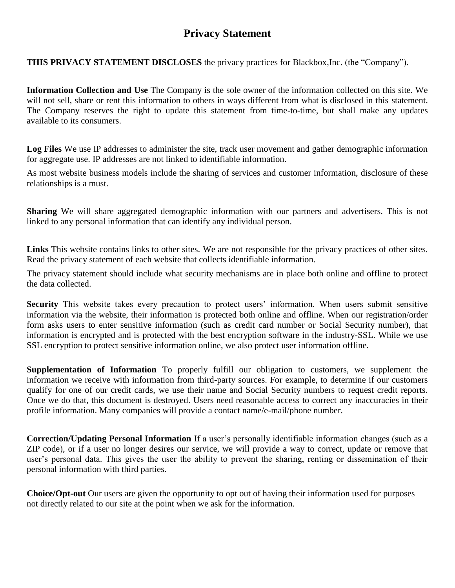# **Privacy Statement**

**THIS PRIVACY STATEMENT DISCLOSES** the privacy practices for Blackbox,Inc. (the "Company")*.*

**Information Collection and Use** The Company is the sole owner of the information collected on this site. We will not sell, share or rent this information to others in ways different from what is disclosed in this statement. The Company reserves the right to update this statement from time-to-time, but shall make any updates available to its consumers.

**Log Files** We use IP addresses to administer the site, track user movement and gather demographic information for aggregate use. IP addresses are not linked to identifiable information.

As most website business models include the sharing of services and customer information, disclosure of these relationships is a must.

**Sharing** We will share aggregated demographic information with our partners and advertisers. This is not linked to any personal information that can identify any individual person.

**Links** This website contains links to other sites. We are not responsible for the privacy practices of other sites. Read the privacy statement of each website that collects identifiable information.

The privacy statement should include what security mechanisms are in place both online and offline to protect the data collected.

**Security** This website takes every precaution to protect users' information. When users submit sensitive information via the website, their information is protected both online and offline. When our registration/order form asks users to enter sensitive information (such as credit card number or Social Security number), that information is encrypted and is protected with the best encryption software in the industry-SSL. While we use SSL encryption to protect sensitive information online, we also protect user information offline.

**Supplementation of Information** To properly fulfill our obligation to customers, we supplement the information we receive with information from third-party sources. For example, to determine if our customers qualify for one of our credit cards, we use their name and Social Security numbers to request credit reports. Once we do that, this document is destroyed. Users need reasonable access to correct any inaccuracies in their profile information. Many companies will provide a contact name/e-mail/phone number.

**Correction/Updating Personal Information** If a user's personally identifiable information changes (such as a ZIP code), or if a user no longer desires our service, we will provide a way to correct, update or remove that user's personal data. This gives the user the ability to prevent the sharing, renting or dissemination of their personal information with third parties.

**Choice/Opt-out** Our users are given the opportunity to opt out of having their information used for purposes not directly related to our site at the point when we ask for the information.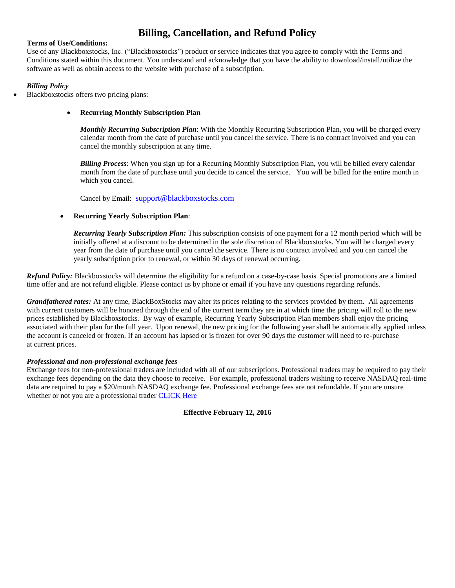# **Billing, Cancellation, and Refund Policy**

#### **Terms of Use/Conditions:**

Use of any Blackboxstocks, Inc. ("Blackboxstocks") product or service indicates that you agree to comply with the Terms and Conditions stated within this document. You understand and acknowledge that you have the ability to download/install/utilize the software as well as obtain access to the website with purchase of a subscription.

#### *Billing Policy*

- Blackboxstocks offers two pricing plans:
	- **Recurring Monthly Subscription Plan**

*Monthly Recurring Subscription Plan*: With the Monthly Recurring Subscription Plan, you will be charged every calendar month from the date of purchase until you cancel the service. There is no contract involved and you can cancel the monthly subscription at any time.

*Billing Process*: When you sign up for a Recurring Monthly Subscription Plan, you will be billed every calendar month from the date of purchase until you decide to cancel the service. You will be billed for the entire month in which you cancel.

Cancel by Email: [support@blackboxstocks.com](mailto:support@blackboxstocks.com)

#### **Recurring Yearly Subscription Plan**:

*Recurring Yearly Subscription Plan:* This subscription consists of one payment for a 12 month period which will be initially offered at a discount to be determined in the sole discretion of Blackboxstocks. You will be charged every year from the date of purchase until you cancel the service. There is no contract involved and you can cancel the yearly subscription prior to renewal, or within 30 days of renewal occurring.

*Refund Policy:* Blackboxstocks will determine the eligibility for a refund on a case-by-case basis. Special promotions are a limited time offer and are not refund eligible. Please contact us by phone or email if you have any questions regarding refunds.

*Grandfathered rates:* At any time, BlackBoxStocks may alter its prices relating to the services provided by them. All agreements with current customers will be honored through the end of the current term they are in at which time the pricing will roll to the new prices established by Blackboxstocks. By way of example, Recurring Yearly Subscription Plan members shall enjoy the pricing associated with their plan for the full year. Upon renewal, the new pricing for the following year shall be automatically applied unless the account is canceled or frozen. If an account has lapsed or is frozen for over 90 days the customer will need to re-purchase at current prices.

#### *Professional and non-professional exchange fees*

Exchange fees for non-professional traders are included with all of our subscriptions. Professional traders may be required to pay their exchange fees depending on the data they choose to receive. For example, professional traders wishing to receive NASDAQ real-time data are required to pay a \$20/month NASDAQ exchange fee. Professional exchange fees are not refundable. If you are unsure whether or not you are a professional trader [CLICK Here](https://www.irs.gov/taxtopics/tc429.html)

**Effective February 12, 2016**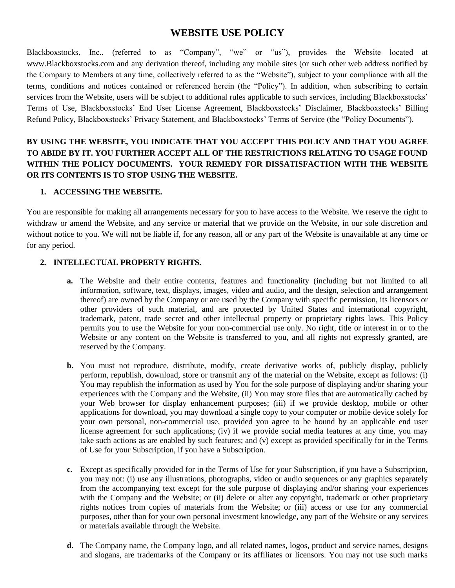# **WEBSITE USE POLICY**

Blackboxstocks, Inc., (referred to as "Company", "we" or "us"), provides the Website located at www.Blackboxstocks.com and any derivation thereof, including any mobile sites (or such other web address notified by the Company to Members at any time, collectively referred to as the "Website"), subject to your compliance with all the terms, conditions and notices contained or referenced herein (the "Policy"). In addition, when subscribing to certain services from the Website, users will be subject to additional rules applicable to such services, including Blackboxstocks' Terms of Use, Blackboxstocks' End User License Agreement, Blackboxstocks' Disclaimer, Blackboxstocks' Billing Refund Policy, Blackboxstocks' Privacy Statement, and Blackboxstocks' Terms of Service (the "Policy Documents").

# **BY USING THE WEBSITE, YOU INDICATE THAT YOU ACCEPT THIS POLICY AND THAT YOU AGREE TO ABIDE BY IT. YOU FURTHER ACCEPT ALL OF THE RESTRICTIONS RELATING TO USAGE FOUND WITHIN THE POLICY DOCUMENTS. YOUR REMEDY FOR DISSATISFACTION WITH THE WEBSITE OR ITS CONTENTS IS TO STOP USING THE WEBSITE.**

# **1. ACCESSING THE WEBSITE.**

You are responsible for making all arrangements necessary for you to have access to the Website. We reserve the right to withdraw or amend the Website, and any service or material that we provide on the Website, in our sole discretion and without notice to you. We will not be liable if, for any reason, all or any part of the Website is unavailable at any time or for any period.

## **2. INTELLECTUAL PROPERTY RIGHTS.**

- **a.** The Website and their entire contents, features and functionality (including but not limited to all information, software, text, displays, images, video and audio, and the design, selection and arrangement thereof) are owned by the Company or are used by the Company with specific permission, its licensors or other providers of such material, and are protected by United States and international copyright, trademark, patent, trade secret and other intellectual property or proprietary rights laws. This Policy permits you to use the Website for your non-commercial use only. No right, title or interest in or to the Website or any content on the Website is transferred to you, and all rights not expressly granted, are reserved by the Company.
- **b.** You must not reproduce, distribute, modify, create derivative works of, publicly display, publicly perform, republish, download, store or transmit any of the material on the Website, except as follows: (i) You may republish the information as used by You for the sole purpose of displaying and/or sharing your experiences with the Company and the Website, (ii) You may store files that are automatically cached by your Web browser for display enhancement purposes; (iii) if we provide desktop, mobile or other applications for download, you may download a single copy to your computer or mobile device solely for your own personal, non-commercial use, provided you agree to be bound by an applicable end user license agreement for such applications; (iv) if we provide social media features at any time, you may take such actions as are enabled by such features; and (v) except as provided specifically for in the Terms of Use for your Subscription, if you have a Subscription.
- **c.** Except as specifically provided for in the Terms of Use for your Subscription, if you have a Subscription, you may not: (i) use any illustrations, photographs, video or audio sequences or any graphics separately from the accompanying text except for the sole purpose of displaying and/or sharing your experiences with the Company and the Website; or (ii) delete or alter any copyright, trademark or other proprietary rights notices from copies of materials from the Website; or (iii) access or use for any commercial purposes, other than for your own personal investment knowledge, any part of the Website or any services or materials available through the Website.
- **d.** The Company name, the Company logo, and all related names, logos, product and service names, designs and slogans, are trademarks of the Company or its affiliates or licensors. You may not use such marks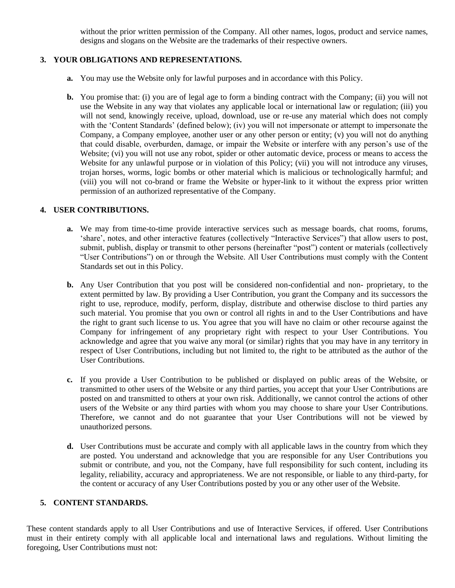without the prior written permission of the Company. All other names, logos, product and service names, designs and slogans on the Website are the trademarks of their respective owners.

## **3. YOUR OBLIGATIONS AND REPRESENTATIONS.**

- **a.** You may use the Website only for lawful purposes and in accordance with this Policy.
- **b.** You promise that: (i) you are of legal age to form a binding contract with the Company; (ii) you will not use the Website in any way that violates any applicable local or international law or regulation; (iii) you will not send, knowingly receive, upload, download, use or re-use any material which does not comply with the 'Content Standards' (defined below); (iv) you will not impersonate or attempt to impersonate the Company, a Company employee, another user or any other person or entity; (v) you will not do anything that could disable, overburden, damage, or impair the Website or interfere with any person's use of the Website; (vi) you will not use any robot, spider or other automatic device, process or means to access the Website for any unlawful purpose or in violation of this Policy; (vii) you will not introduce any viruses, trojan horses, worms, logic bombs or other material which is malicious or technologically harmful; and (viii) you will not co-brand or frame the Website or hyper-link to it without the express prior written permission of an authorized representative of the Company.

## **4. USER CONTRIBUTIONS.**

- **a.** We may from time-to-time provide interactive services such as message boards, chat rooms, forums, 'share', notes, and other interactive features (collectively "Interactive Services") that allow users to post, submit, publish, display or transmit to other persons (hereinafter "post") content or materials (collectively "User Contributions") on or through the Website. All User Contributions must comply with the Content Standards set out in this Policy.
- **b.** Any User Contribution that you post will be considered non-confidential and non- proprietary, to the extent permitted by law. By providing a User Contribution, you grant the Company and its successors the right to use, reproduce, modify, perform, display, distribute and otherwise disclose to third parties any such material. You promise that you own or control all rights in and to the User Contributions and have the right to grant such license to us. You agree that you will have no claim or other recourse against the Company for infringement of any proprietary right with respect to your User Contributions. You acknowledge and agree that you waive any moral (or similar) rights that you may have in any territory in respect of User Contributions, including but not limited to, the right to be attributed as the author of the User Contributions.
- **c.** If you provide a User Contribution to be published or displayed on public areas of the Website, or transmitted to other users of the Website or any third parties, you accept that your User Contributions are posted on and transmitted to others at your own risk. Additionally, we cannot control the actions of other users of the Website or any third parties with whom you may choose to share your User Contributions. Therefore, we cannot and do not guarantee that your User Contributions will not be viewed by unauthorized persons.
- **d.** User Contributions must be accurate and comply with all applicable laws in the country from which they are posted. You understand and acknowledge that you are responsible for any User Contributions you submit or contribute, and you, not the Company, have full responsibility for such content, including its legality, reliability, accuracy and appropriateness. We are not responsible, or liable to any third-party, for the content or accuracy of any User Contributions posted by you or any other user of the Website.

## **5. CONTENT STANDARDS.**

These content standards apply to all User Contributions and use of Interactive Services, if offered. User Contributions must in their entirety comply with all applicable local and international laws and regulations. Without limiting the foregoing, User Contributions must not: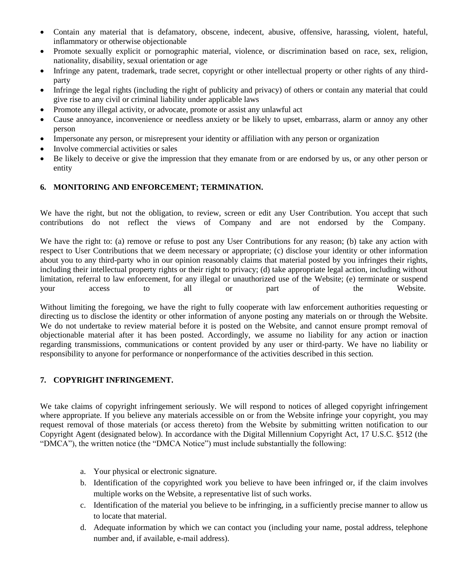- Contain any material that is defamatory, obscene, indecent, abusive, offensive, harassing, violent, hateful, inflammatory or otherwise objectionable
- Promote sexually explicit or pornographic material, violence, or discrimination based on race, sex, religion, nationality, disability, sexual orientation or age
- Infringe any patent, trademark, trade secret, copyright or other intellectual property or other rights of any thirdparty
- Infringe the legal rights (including the right of publicity and privacy) of others or contain any material that could give rise to any civil or criminal liability under applicable laws
- Promote any illegal activity, or advocate, promote or assist any unlawful act
- Cause annoyance, inconvenience or needless anxiety or be likely to upset, embarrass, alarm or annoy any other person
- Impersonate any person, or misrepresent your identity or affiliation with any person or organization
- Involve commercial activities or sales
- Be likely to deceive or give the impression that they emanate from or are endorsed by us, or any other person or entity

## **6. MONITORING AND ENFORCEMENT; TERMINATION.**

We have the right, but not the obligation, to review, screen or edit any User Contribution. You accept that such contributions do not reflect the views of Company and are not endorsed by the Company.

We have the right to: (a) remove or refuse to post any User Contributions for any reason; (b) take any action with respect to User Contributions that we deem necessary or appropriate; (c) disclose your identity or other information about you to any third-party who in our opinion reasonably claims that material posted by you infringes their rights, including their intellectual property rights or their right to privacy; (d) take appropriate legal action, including without limitation, referral to law enforcement, for any illegal or unauthorized use of the Website; (e) terminate or suspend your access to all or part of the Website.

Without limiting the foregoing, we have the right to fully cooperate with law enforcement authorities requesting or directing us to disclose the identity or other information of anyone posting any materials on or through the Website. We do not undertake to review material before it is posted on the Website, and cannot ensure prompt removal of objectionable material after it has been posted. Accordingly, we assume no liability for any action or inaction regarding transmissions, communications or content provided by any user or third-party. We have no liability or responsibility to anyone for performance or nonperformance of the activities described in this section.

## **7. COPYRIGHT INFRINGEMENT.**

We take claims of copyright infringement seriously. We will respond to notices of alleged copyright infringement where appropriate. If you believe any materials accessible on or from the Website infringe your copyright, you may request removal of those materials (or access thereto) from the Website by submitting written notification to our Copyright Agent (designated below). In accordance with the Digital Millennium Copyright Act, 17 U.S.C. §512 (the "DMCA"), the written notice (the "DMCA Notice") must include substantially the following:

- a. Your physical or electronic signature.
- b. Identification of the copyrighted work you believe to have been infringed or, if the claim involves multiple works on the Website, a representative list of such works.
- c. Identification of the material you believe to be infringing, in a sufficiently precise manner to allow us to locate that material.
- d. Adequate information by which we can contact you (including your name, postal address, telephone number and, if available, e-mail address).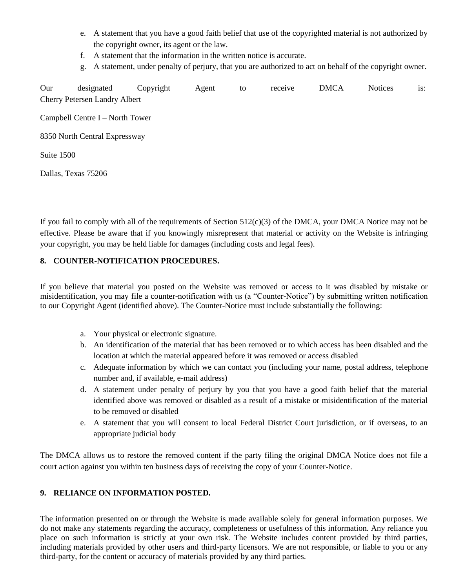- e. A statement that you have a good faith belief that use of the copyrighted material is not authorized by the copyright owner, its agent or the law.
- f. A statement that the information in the written notice is accurate.
- g. A statement, under penalty of perjury, that you are authorized to act on behalf of the copyright owner.

Our designated Copyright Agent to receive DMCA Notices is: Cherry Petersen Landry Albert Campbell Centre I – North Tower 8350 North Central Expressway Suite 1500 Dallas, Texas 75206

If you fail to comply with all of the requirements of Section  $512(c)(3)$  of the DMCA, your DMCA Notice may not be effective. Please be aware that if you knowingly misrepresent that material or activity on the Website is infringing your copyright, you may be held liable for damages (including costs and legal fees).

## **8. COUNTER-NOTIFICATION PROCEDURES.**

If you believe that material you posted on the Website was removed or access to it was disabled by mistake or misidentification, you may file a counter-notification with us (a "Counter-Notice") by submitting written notification to our Copyright Agent (identified above). The Counter-Notice must include substantially the following:

- a. Your physical or electronic signature.
- b. An identification of the material that has been removed or to which access has been disabled and the location at which the material appeared before it was removed or access disabled
- c. Adequate information by which we can contact you (including your name, postal address, telephone number and, if available, e-mail address)
- d. A statement under penalty of perjury by you that you have a good faith belief that the material identified above was removed or disabled as a result of a mistake or misidentification of the material to be removed or disabled
- e. A statement that you will consent to local Federal District Court jurisdiction, or if overseas, to an appropriate judicial body

The DMCA allows us to restore the removed content if the party filing the original DMCA Notice does not file a court action against you within ten business days of receiving the copy of your Counter-Notice.

#### **9. RELIANCE ON INFORMATION POSTED.**

The information presented on or through the Website is made available solely for general information purposes. We do not make any statements regarding the accuracy, completeness or usefulness of this information. Any reliance you place on such information is strictly at your own risk. The Website includes content provided by third parties, including materials provided by other users and third-party licensors. We are not responsible, or liable to you or any third-party, for the content or accuracy of materials provided by any third parties.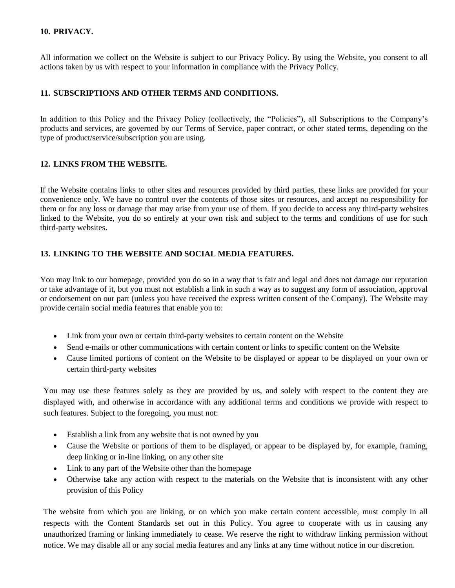## **10. PRIVACY.**

All information we collect on the Website is subject to our Privacy Policy. By using the Website, you consent to all actions taken by us with respect to your information in compliance with the Privacy Policy.

## **11. SUBSCRIPTIONS AND OTHER TERMS AND CONDITIONS.**

In addition to this Policy and the Privacy Policy (collectively, the "Policies"), all Subscriptions to the Company's products and services, are governed by our Terms of Service, paper contract, or other stated terms, depending on the type of product/service/subscription you are using.

## **12. LINKS FROM THE WEBSITE.**

If the Website contains links to other sites and resources provided by third parties, these links are provided for your convenience only. We have no control over the contents of those sites or resources, and accept no responsibility for them or for any loss or damage that may arise from your use of them. If you decide to access any third-party websites linked to the Website, you do so entirely at your own risk and subject to the terms and conditions of use for such third-party websites.

## **13. LINKING TO THE WEBSITE AND SOCIAL MEDIA FEATURES.**

You may link to our homepage, provided you do so in a way that is fair and legal and does not damage our reputation or take advantage of it, but you must not establish a link in such a way as to suggest any form of association, approval or endorsement on our part (unless you have received the express written consent of the Company). The Website may provide certain social media features that enable you to:

- Link from your own or certain third-party websites to certain content on the Website
- Send e-mails or other communications with certain content or links to specific content on the Website
- Cause limited portions of content on the Website to be displayed or appear to be displayed on your own or certain third-party websites

You may use these features solely as they are provided by us, and solely with respect to the content they are displayed with, and otherwise in accordance with any additional terms and conditions we provide with respect to such features. Subject to the foregoing, you must not:

- Establish a link from any website that is not owned by you
- Cause the Website or portions of them to be displayed, or appear to be displayed by, for example, framing, deep linking or in-line linking, on any other site
- Link to any part of the Website other than the homepage
- Otherwise take any action with respect to the materials on the Website that is inconsistent with any other provision of this Policy

The website from which you are linking, or on which you make certain content accessible, must comply in all respects with the Content Standards set out in this Policy. You agree to cooperate with us in causing any unauthorized framing or linking immediately to cease. We reserve the right to withdraw linking permission without notice. We may disable all or any social media features and any links at any time without notice in our discretion.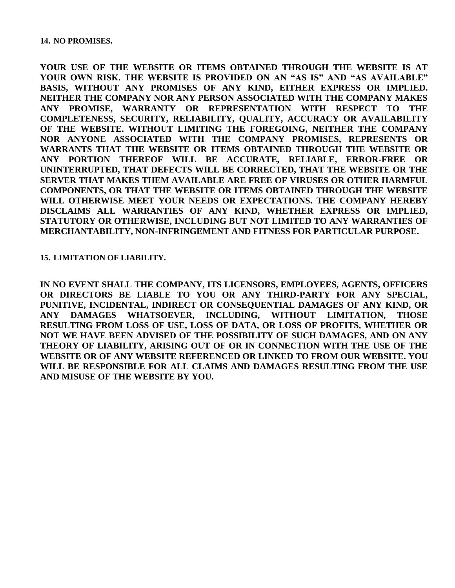**YOUR USE OF THE WEBSITE OR ITEMS OBTAINED THROUGH THE WEBSITE IS AT YOUR OWN RISK. THE WEBSITE IS PROVIDED ON AN "AS IS" AND "AS AVAILABLE" BASIS, WITHOUT ANY PROMISES OF ANY KIND, EITHER EXPRESS OR IMPLIED. NEITHER THE COMPANY NOR ANY PERSON ASSOCIATED WITH THE COMPANY MAKES ANY PROMISE, WARRANTY OR REPRESENTATION WITH RESPECT TO THE COMPLETENESS, SECURITY, RELIABILITY, QUALITY, ACCURACY OR AVAILABILITY OF THE WEBSITE. WITHOUT LIMITING THE FOREGOING, NEITHER THE COMPANY NOR ANYONE ASSOCIATED WITH THE COMPANY PROMISES, REPRESENTS OR WARRANTS THAT THE WEBSITE OR ITEMS OBTAINED THROUGH THE WEBSITE OR ANY PORTION THEREOF WILL BE ACCURATE, RELIABLE, ERROR-FREE OR UNINTERRUPTED, THAT DEFECTS WILL BE CORRECTED, THAT THE WEBSITE OR THE SERVER THAT MAKES THEM AVAILABLE ARE FREE OF VIRUSES OR OTHER HARMFUL COMPONENTS, OR THAT THE WEBSITE OR ITEMS OBTAINED THROUGH THE WEBSITE WILL OTHERWISE MEET YOUR NEEDS OR EXPECTATIONS. THE COMPANY HEREBY DISCLAIMS ALL WARRANTIES OF ANY KIND, WHETHER EXPRESS OR IMPLIED, STATUTORY OR OTHERWISE, INCLUDING BUT NOT LIMITED TO ANY WARRANTIES OF MERCHANTABILITY, NON-INFRINGEMENT AND FITNESS FOR PARTICULAR PURPOSE.**

#### **15. LIMITATION OF LIABILITY.**

**IN NO EVENT SHALL THE COMPANY, ITS LICENSORS, EMPLOYEES, AGENTS, OFFICERS OR DIRECTORS BE LIABLE TO YOU OR ANY THIRD-PARTY FOR ANY SPECIAL, PUNITIVE, INCIDENTAL, INDIRECT OR CONSEQUENTIAL DAMAGES OF ANY KIND, OR ANY DAMAGES WHATSOEVER, INCLUDING, WITHOUT LIMITATION, THOSE RESULTING FROM LOSS OF USE, LOSS OF DATA, OR LOSS OF PROFITS, WHETHER OR NOT WE HAVE BEEN ADVISED OF THE POSSIBILITY OF SUCH DAMAGES, AND ON ANY THEORY OF LIABILITY, ARISING OUT OF OR IN CONNECTION WITH THE USE OF THE WEBSITE OR OF ANY WEBSITE REFERENCED OR LINKED TO FROM OUR WEBSITE. YOU WILL BE RESPONSIBLE FOR ALL CLAIMS AND DAMAGES RESULTING FROM THE USE AND MISUSE OF THE WEBSITE BY YOU.**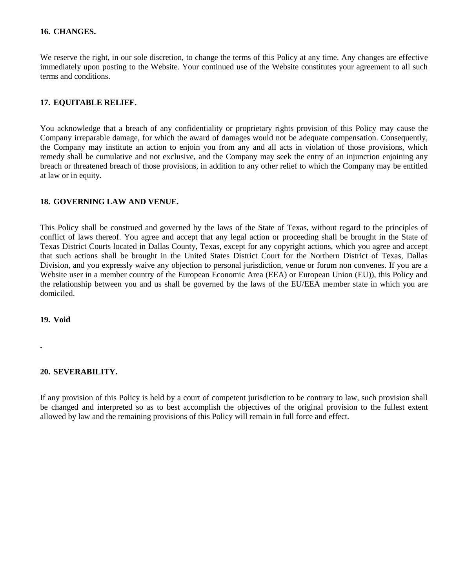#### **16. CHANGES.**

We reserve the right, in our sole discretion, to change the terms of this Policy at any time. Any changes are effective immediately upon posting to the Website. Your continued use of the Website constitutes your agreement to all such terms and conditions.

#### **17. EQUITABLE RELIEF.**

You acknowledge that a breach of any confidentiality or proprietary rights provision of this Policy may cause the Company irreparable damage, for which the award of damages would not be adequate compensation. Consequently, the Company may institute an action to enjoin you from any and all acts in violation of those provisions, which remedy shall be cumulative and not exclusive, and the Company may seek the entry of an injunction enjoining any breach or threatened breach of those provisions, in addition to any other relief to which the Company may be entitled at law or in equity.

#### **18. GOVERNING LAW AND VENUE.**

This Policy shall be construed and governed by the laws of the State of Texas, without regard to the principles of conflict of laws thereof. You agree and accept that any legal action or proceeding shall be brought in the State of Texas District Courts located in Dallas County, Texas, except for any copyright actions, which you agree and accept that such actions shall be brought in the United States District Court for the Northern District of Texas, Dallas Division, and you expressly waive any objection to personal jurisdiction, venue or forum non convenes. If you are a Website user in a member country of the European Economic Area (EEA) or European Union (EU)), this Policy and the relationship between you and us shall be governed by the laws of the EU/EEA member state in which you are domiciled.

**19. Void**

**.**

#### **20. SEVERABILITY.**

If any provision of this Policy is held by a court of competent jurisdiction to be contrary to law, such provision shall be changed and interpreted so as to best accomplish the objectives of the original provision to the fullest extent allowed by law and the remaining provisions of this Policy will remain in full force and effect.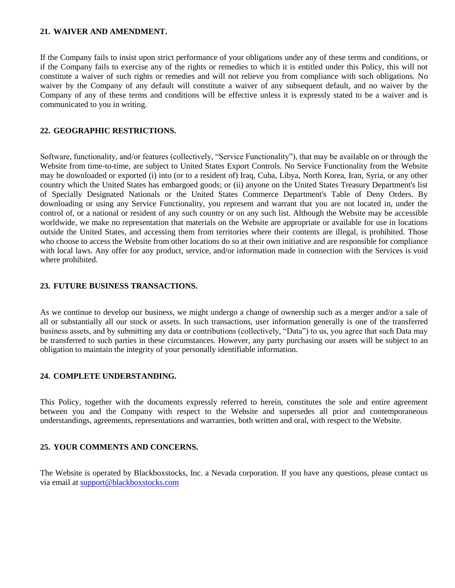#### **21. WAIVER AND AMENDMENT.**

If the Company fails to insist upon strict performance of your obligations under any of these terms and conditions, or if the Company fails to exercise any of the rights or remedies to which it is entitled under this Policy, this will not constitute a waiver of such rights or remedies and will not relieve you from compliance with such obligations. No waiver by the Company of any default will constitute a waiver of any subsequent default, and no waiver by the Company of any of these terms and conditions will be effective unless it is expressly stated to be a waiver and is communicated to you in writing.

#### **22. GEOGRAPHIC RESTRICTIONS.**

Software, functionality, and/or features (collectively, "Service Functionality"), that may be available on or through the Website from time-to-time, are subject to United States Export Controls. No Service Functionality from the Website may be downloaded or exported (i) into (or to a resident of) Iraq, Cuba, Libya, North Korea, Iran, Syria, or any other country which the United States has embargoed goods; or (ii) anyone on the United States Treasury Department's list of Specially Designated Nationals or the United States Commerce Department's Table of Deny Orders. By downloading or using any Service Functionality, you represent and warrant that you are not located in, under the control of, or a national or resident of any such country or on any such list. Although the Website may be accessible worldwide, we make no representation that materials on the Website are appropriate or available for use in locations outside the United States, and accessing them from territories where their contents are illegal, is prohibited. Those who choose to access the Website from other locations do so at their own initiative and are responsible for compliance with local laws. Any offer for any product, service, and/or information made in connection with the Services is void where prohibited.

#### **23. FUTURE BUSINESS TRANSACTIONS.**

As we continue to develop our business, we might undergo a change of ownership such as a merger and/or a sale of all or substantially all our stock or assets. In such transactions, user information generally is one of the transferred business assets, and by submitting any data or contributions (collectively, "Data") to us, you agree that such Data may be transferred to such parties in these circumstances. However, any party purchasing our assets will be subject to an obligation to maintain the integrity of your personally identifiable information.

#### **24. COMPLETE UNDERSTANDING.**

This Policy, together with the documents expressly referred to herein, constitutes the sole and entire agreement between you and the Company with respect to the Website and supersedes all prior and contemporaneous understandings, agreements, representations and warranties, both written and oral, with respect to the Website.

#### **25. YOUR COMMENTS AND CONCERNS.**

The Website is operated by Blackboxstocks, Inc. a Nevada corporation. If you have any questions, please contact us via email at [support@blackboxstocks.com](mailto:support@blackboxstocks.com)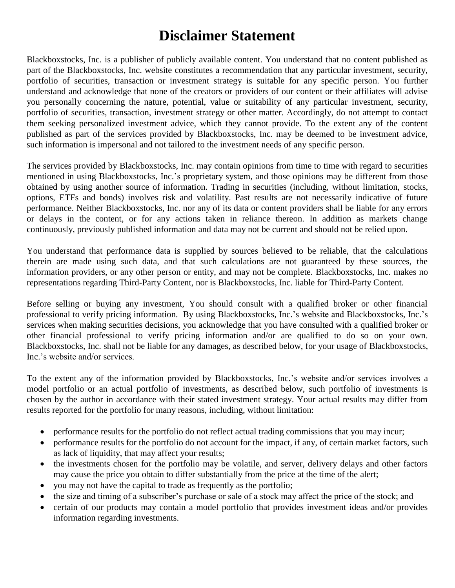# **Disclaimer Statement**

Blackboxstocks, Inc. is a publisher of publicly available content. You understand that no content published as part of the Blackboxstocks, Inc. website constitutes a recommendation that any particular investment, security, portfolio of securities, transaction or investment strategy is suitable for any specific person. You further understand and acknowledge that none of the creators or providers of our content or their affiliates will advise you personally concerning the nature, potential, value or suitability of any particular investment, security, portfolio of securities, transaction, investment strategy or other matter. Accordingly, do not attempt to contact them seeking personalized investment advice, which they cannot provide. To the extent any of the content published as part of the services provided by Blackboxstocks, Inc. may be deemed to be investment advice, such information is impersonal and not tailored to the investment needs of any specific person.

The services provided by Blackboxstocks, Inc. may contain opinions from time to time with regard to securities mentioned in using Blackboxstocks, Inc.'s proprietary system, and those opinions may be different from those obtained by using another source of information. Trading in securities (including, without limitation, stocks, options, ETFs and bonds) involves risk and volatility. Past results are not necessarily indicative of future performance. Neither Blackboxstocks, Inc. nor any of its data or content providers shall be liable for any errors or delays in the content, or for any actions taken in reliance thereon. In addition as markets change continuously, previously published information and data may not be current and should not be relied upon.

You understand that performance data is supplied by sources believed to be reliable, that the calculations therein are made using such data, and that such calculations are not guaranteed by these sources, the information providers, or any other person or entity, and may not be complete. Blackboxstocks, Inc. makes no representations regarding Third-Party Content, nor is Blackboxstocks, Inc. liable for Third-Party Content.

Before selling or buying any investment, You should consult with a qualified broker or other financial professional to verify pricing information. By using Blackboxstocks, Inc.'s website and Blackboxstocks, Inc.'s services when making securities decisions, you acknowledge that you have consulted with a qualified broker or other financial professional to verify pricing information and/or are qualified to do so on your own. Blackboxstocks, Inc. shall not be liable for any damages, as described below, for your usage of Blackboxstocks, Inc.'s website and/or services.

To the extent any of the information provided by Blackboxstocks, Inc.'s website and/or services involves a model portfolio or an actual portfolio of investments, as described below, such portfolio of investments is chosen by the author in accordance with their stated investment strategy. Your actual results may differ from results reported for the portfolio for many reasons, including, without limitation:

- performance results for the portfolio do not reflect actual trading commissions that you may incur;
- performance results for the portfolio do not account for the impact, if any, of certain market factors, such as lack of liquidity, that may affect your results;
- the investments chosen for the portfolio may be volatile, and server, delivery delays and other factors may cause the price you obtain to differ substantially from the price at the time of the alert;
- you may not have the capital to trade as frequently as the portfolio;
- the size and timing of a subscriber's purchase or sale of a stock may affect the price of the stock; and
- certain of our products may contain a model portfolio that provides investment ideas and/or provides information regarding investments.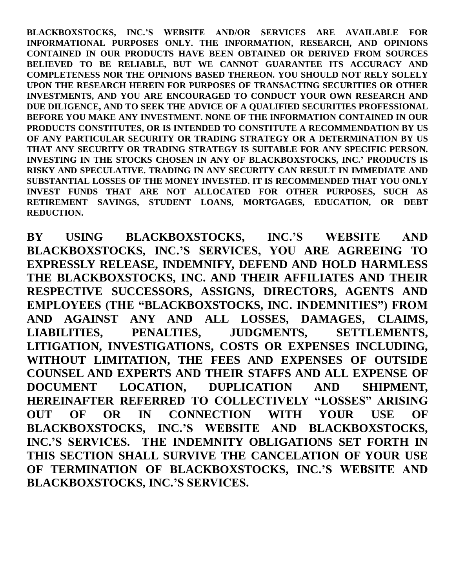**BLACKBOXSTOCKS, INC.'S WEBSITE AND/OR SERVICES ARE AVAILABLE FOR INFORMATIONAL PURPOSES ONLY. THE INFORMATION, RESEARCH, AND OPINIONS CONTAINED IN OUR PRODUCTS HAVE BEEN OBTAINED OR DERIVED FROM SOURCES BELIEVED TO BE RELIABLE, BUT WE CANNOT GUARANTEE ITS ACCURACY AND COMPLETENESS NOR THE OPINIONS BASED THEREON. YOU SHOULD NOT RELY SOLELY UPON THE RESEARCH HEREIN FOR PURPOSES OF TRANSACTING SECURITIES OR OTHER INVESTMENTS, AND YOU ARE ENCOURAGED TO CONDUCT YOUR OWN RESEARCH AND DUE DILIGENCE, AND TO SEEK THE ADVICE OF A QUALIFIED SECURITIES PROFESSIONAL BEFORE YOU MAKE ANY INVESTMENT. NONE OF THE INFORMATION CONTAINED IN OUR PRODUCTS CONSTITUTES, OR IS INTENDED TO CONSTITUTE A RECOMMENDATION BY US OF ANY PARTICULAR SECURITY OR TRADING STRATEGY OR A DETERMINATION BY US THAT ANY SECURITY OR TRADING STRATEGY IS SUITABLE FOR ANY SPECIFIC PERSON. INVESTING IN THE STOCKS CHOSEN IN ANY OF BLACKBOXSTOCKS, INC.' PRODUCTS IS RISKY AND SPECULATIVE. TRADING IN ANY SECURITY CAN RESULT IN IMMEDIATE AND SUBSTANTIAL LOSSES OF THE MONEY INVESTED. IT IS RECOMMENDED THAT YOU ONLY INVEST FUNDS THAT ARE NOT ALLOCATED FOR OTHER PURPOSES, SUCH AS RETIREMENT SAVINGS, STUDENT LOANS, MORTGAGES, EDUCATION, OR DEBT REDUCTION.**

**BY USING BLACKBOXSTOCKS, INC.'S WEBSITE AND BLACKBOXSTOCKS, INC.'S SERVICES, YOU ARE AGREEING TO EXPRESSLY RELEASE, INDEMNIFY, DEFEND AND HOLD HARMLESS THE BLACKBOXSTOCKS, INC. AND THEIR AFFILIATES AND THEIR RESPECTIVE SUCCESSORS, ASSIGNS, DIRECTORS, AGENTS AND EMPLOYEES (THE "BLACKBOXSTOCKS, INC. INDEMNITIES") FROM AND AGAINST ANY AND ALL LOSSES, DAMAGES, CLAIMS, LIABILITIES, PENALTIES, JUDGMENTS, SETTLEMENTS, LITIGATION, INVESTIGATIONS, COSTS OR EXPENSES INCLUDING, WITHOUT LIMITATION, THE FEES AND EXPENSES OF OUTSIDE COUNSEL AND EXPERTS AND THEIR STAFFS AND ALL EXPENSE OF DOCUMENT LOCATION, DUPLICATION AND SHIPMENT, HEREINAFTER REFERRED TO COLLECTIVELY "LOSSES" ARISING OUT OF OR IN CONNECTION WITH YOUR USE OF BLACKBOXSTOCKS, INC.'S WEBSITE AND BLACKBOXSTOCKS, INC.'S SERVICES. THE INDEMNITY OBLIGATIONS SET FORTH IN THIS SECTION SHALL SURVIVE THE CANCELATION OF YOUR USE OF TERMINATION OF BLACKBOXSTOCKS, INC.'S WEBSITE AND BLACKBOXSTOCKS, INC.'S SERVICES.**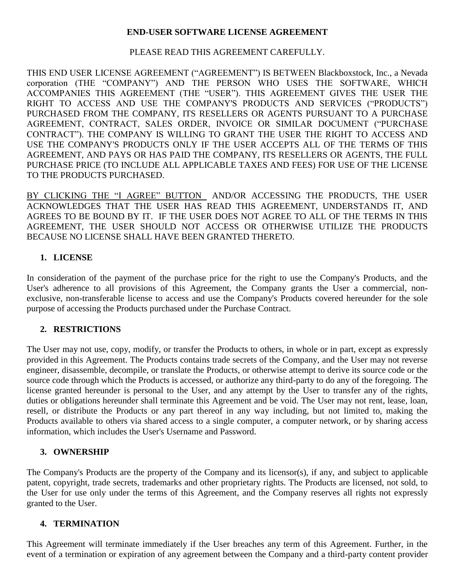# **END-USER SOFTWARE LICENSE AGREEMENT**

# PLEASE READ THIS AGREEMENT CAREFULLY.

THIS END USER LICENSE AGREEMENT ("AGREEMENT") IS BETWEEN Blackboxstock, Inc., a Nevada corporation (THE "COMPANY") AND THE PERSON WHO USES THE SOFTWARE, WHICH ACCOMPANIES THIS AGREEMENT (THE "USER"). THIS AGREEMENT GIVES THE USER THE RIGHT TO ACCESS AND USE THE COMPANY'S PRODUCTS AND SERVICES ("PRODUCTS") PURCHASED FROM THE COMPANY, ITS RESELLERS OR AGENTS PURSUANT TO A PURCHASE AGREEMENT, CONTRACT, SALES ORDER, INVOICE OR SIMILAR DOCUMENT ("PURCHASE CONTRACT"). THE COMPANY IS WILLING TO GRANT THE USER THE RIGHT TO ACCESS AND USE THE COMPANY'S PRODUCTS ONLY IF THE USER ACCEPTS ALL OF THE TERMS OF THIS AGREEMENT, AND PAYS OR HAS PAID THE COMPANY, ITS RESELLERS OR AGENTS, THE FULL PURCHASE PRICE (TO INCLUDE ALL APPLICABLE TAXES AND FEES) FOR USE OF THE LICENSE TO THE PRODUCTS PURCHASED.

BY CLICKING THE "I AGREE" BUTTON AND/OR ACCESSING THE PRODUCTS, THE USER ACKNOWLEDGES THAT THE USER HAS READ THIS AGREEMENT, UNDERSTANDS IT, AND AGREES TO BE BOUND BY IT. IF THE USER DOES NOT AGREE TO ALL OF THE TERMS IN THIS AGREEMENT, THE USER SHOULD NOT ACCESS OR OTHERWISE UTILIZE THE PRODUCTS BECAUSE NO LICENSE SHALL HAVE BEEN GRANTED THERETO.

# **1. LICENSE**

In consideration of the payment of the purchase price for the right to use the Company's Products, and the User's adherence to all provisions of this Agreement, the Company grants the User a commercial, nonexclusive, non-transferable license to access and use the Company's Products covered hereunder for the sole purpose of accessing the Products purchased under the Purchase Contract.

# **2. RESTRICTIONS**

The User may not use, copy, modify, or transfer the Products to others, in whole or in part, except as expressly provided in this Agreement. The Products contains trade secrets of the Company, and the User may not reverse engineer, disassemble, decompile, or translate the Products, or otherwise attempt to derive its source code or the source code through which the Products is accessed, or authorize any third-party to do any of the foregoing. The license granted hereunder is personal to the User, and any attempt by the User to transfer any of the rights, duties or obligations hereunder shall terminate this Agreement and be void. The User may not rent, lease, loan, resell, or distribute the Products or any part thereof in any way including, but not limited to, making the Products available to others via shared access to a single computer, a computer network, or by sharing access information, which includes the User's Username and Password.

## **3. OWNERSHIP**

The Company's Products are the property of the Company and its licensor(s), if any, and subject to applicable patent, copyright, trade secrets, trademarks and other proprietary rights. The Products are licensed, not sold, to the User for use only under the terms of this Agreement, and the Company reserves all rights not expressly granted to the User.

## **4. TERMINATION**

This Agreement will terminate immediately if the User breaches any term of this Agreement. Further, in the event of a termination or expiration of any agreement between the Company and a third-party content provider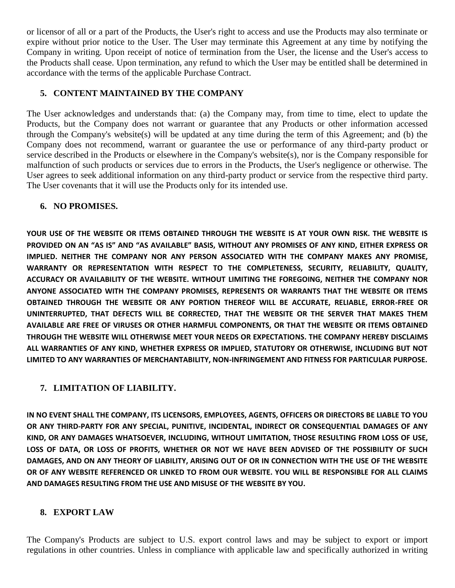or licensor of all or a part of the Products, the User's right to access and use the Products may also terminate or expire without prior notice to the User. The User may terminate this Agreement at any time by notifying the Company in writing. Upon receipt of notice of termination from the User, the license and the User's access to the Products shall cease. Upon termination, any refund to which the User may be entitled shall be determined in accordance with the terms of the applicable Purchase Contract.

# **5. CONTENT MAINTAINED BY THE COMPANY**

The User acknowledges and understands that: (a) the Company may, from time to time, elect to update the Products, but the Company does not warrant or guarantee that any Products or other information accessed through the Company's website(s) will be updated at any time during the term of this Agreement; and (b) the Company does not recommend, warrant or guarantee the use or performance of any third-party product or service described in the Products or elsewhere in the Company's website(s), nor is the Company responsible for malfunction of such products or services due to errors in the Products, the User's negligence or otherwise. The User agrees to seek additional information on any third-party product or service from the respective third party. The User covenants that it will use the Products only for its intended use.

# **6. NO PROMISES.**

**YOUR USE OF THE WEBSITE OR ITEMS OBTAINED THROUGH THE WEBSITE IS AT YOUR OWN RISK. THE WEBSITE IS PROVIDED ON AN "AS IS" AND "AS AVAILABLE" BASIS, WITHOUT ANY PROMISES OF ANY KIND, EITHER EXPRESS OR IMPLIED. NEITHER THE COMPANY NOR ANY PERSON ASSOCIATED WITH THE COMPANY MAKES ANY PROMISE, WARRANTY OR REPRESENTATION WITH RESPECT TO THE COMPLETENESS, SECURITY, RELIABILITY, QUALITY, ACCURACY OR AVAILABILITY OF THE WEBSITE. WITHOUT LIMITING THE FOREGOING, NEITHER THE COMPANY NOR ANYONE ASSOCIATED WITH THE COMPANY PROMISES, REPRESENTS OR WARRANTS THAT THE WEBSITE OR ITEMS OBTAINED THROUGH THE WEBSITE OR ANY PORTION THEREOF WILL BE ACCURATE, RELIABLE, ERROR-FREE OR UNINTERRUPTED, THAT DEFECTS WILL BE CORRECTED, THAT THE WEBSITE OR THE SERVER THAT MAKES THEM AVAILABLE ARE FREE OF VIRUSES OR OTHER HARMFUL COMPONENTS, OR THAT THE WEBSITE OR ITEMS OBTAINED THROUGH THE WEBSITE WILL OTHERWISE MEET YOUR NEEDS OR EXPECTATIONS. THE COMPANY HEREBY DISCLAIMS ALL WARRANTIES OF ANY KIND, WHETHER EXPRESS OR IMPLIED, STATUTORY OR OTHERWISE, INCLUDING BUT NOT LIMITED TO ANY WARRANTIES OF MERCHANTABILITY, NON-INFRINGEMENT AND FITNESS FOR PARTICULAR PURPOSE.**

# **7. LIMITATION OF LIABILITY.**

**IN NO EVENT SHALL THE COMPANY, ITS LICENSORS, EMPLOYEES, AGENTS, OFFICERS OR DIRECTORS BE LIABLE TO YOU OR ANY THIRD-PARTY FOR ANY SPECIAL, PUNITIVE, INCIDENTAL, INDIRECT OR CONSEQUENTIAL DAMAGES OF ANY KIND, OR ANY DAMAGES WHATSOEVER, INCLUDING, WITHOUT LIMITATION, THOSE RESULTING FROM LOSS OF USE, LOSS OF DATA, OR LOSS OF PROFITS, WHETHER OR NOT WE HAVE BEEN ADVISED OF THE POSSIBILITY OF SUCH DAMAGES, AND ON ANY THEORY OF LIABILITY, ARISING OUT OF OR IN CONNECTION WITH THE USE OF THE WEBSITE OR OF ANY WEBSITE REFERENCED OR LINKED TO FROM OUR WEBSITE. YOU WILL BE RESPONSIBLE FOR ALL CLAIMS AND DAMAGES RESULTING FROM THE USE AND MISUSE OF THE WEBSITE BY YOU.**

# **8. EXPORT LAW**

The Company's Products are subject to U.S. export control laws and may be subject to export or import regulations in other countries. Unless in compliance with applicable law and specifically authorized in writing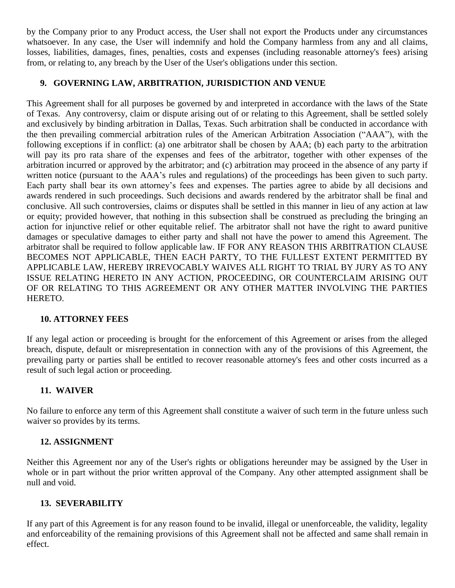by the Company prior to any Product access, the User shall not export the Products under any circumstances whatsoever. In any case, the User will indemnify and hold the Company harmless from any and all claims, losses, liabilities, damages, fines, penalties, costs and expenses (including reasonable attorney's fees) arising from, or relating to, any breach by the User of the User's obligations under this section.

# **9. GOVERNING LAW, ARBITRATION, JURISDICTION AND VENUE**

This Agreement shall for all purposes be governed by and interpreted in accordance with the laws of the State of Texas. Any controversy, claim or dispute arising out of or relating to this Agreement, shall be settled solely and exclusively by binding arbitration in Dallas, Texas. Such arbitration shall be conducted in accordance with the then prevailing commercial arbitration rules of the American Arbitration Association ("AAA"), with the following exceptions if in conflict: (a) one arbitrator shall be chosen by AAA; (b) each party to the arbitration will pay its pro rata share of the expenses and fees of the arbitrator, together with other expenses of the arbitration incurred or approved by the arbitrator; and (c) arbitration may proceed in the absence of any party if written notice (pursuant to the AAA's rules and regulations) of the proceedings has been given to such party. Each party shall bear its own attorney's fees and expenses. The parties agree to abide by all decisions and awards rendered in such proceedings. Such decisions and awards rendered by the arbitrator shall be final and conclusive. All such controversies, claims or disputes shall be settled in this manner in lieu of any action at law or equity; provided however, that nothing in this subsection shall be construed as precluding the bringing an action for injunctive relief or other equitable relief. The arbitrator shall not have the right to award punitive damages or speculative damages to either party and shall not have the power to amend this Agreement. The arbitrator shall be required to follow applicable law. IF FOR ANY REASON THIS ARBITRATION CLAUSE BECOMES NOT APPLICABLE, THEN EACH PARTY, TO THE FULLEST EXTENT PERMITTED BY APPLICABLE LAW, HEREBY IRREVOCABLY WAIVES ALL RIGHT TO TRIAL BY JURY AS TO ANY ISSUE RELATING HERETO IN ANY ACTION, PROCEEDING, OR COUNTERCLAIM ARISING OUT OF OR RELATING TO THIS AGREEMENT OR ANY OTHER MATTER INVOLVING THE PARTIES HERETO.

# **10. ATTORNEY FEES**

If any legal action or proceeding is brought for the enforcement of this Agreement or arises from the alleged breach, dispute, default or misrepresentation in connection with any of the provisions of this Agreement, the prevailing party or parties shall be entitled to recover reasonable attorney's fees and other costs incurred as a result of such legal action or proceeding.

# **11. WAIVER**

No failure to enforce any term of this Agreement shall constitute a waiver of such term in the future unless such waiver so provides by its terms.

# **12. ASSIGNMENT**

Neither this Agreement nor any of the User's rights or obligations hereunder may be assigned by the User in whole or in part without the prior written approval of the Company. Any other attempted assignment shall be null and void.

# **13. SEVERABILITY**

If any part of this Agreement is for any reason found to be invalid, illegal or unenforceable, the validity, legality and enforceability of the remaining provisions of this Agreement shall not be affected and same shall remain in effect.